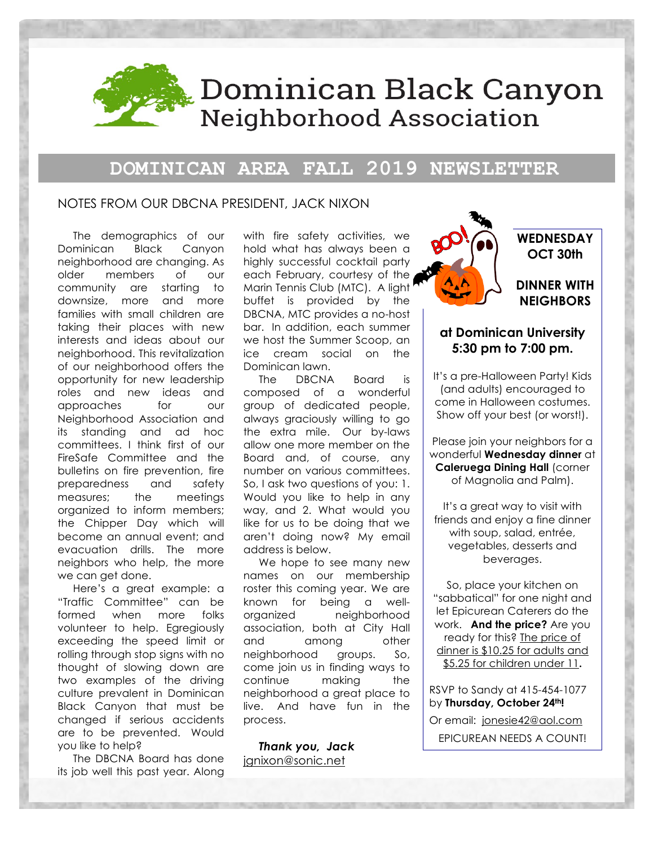

# **DOMINICAN AREA FALL 2019 NEWSLETTER**

#### NOTES FROM OUR DBCNA PRESIDENT, JACK NIXON

The demographics of our Dominican Black Canyon neighborhood are changing. As older members of our community are starting to downsize, more and more families with small children are taking their places with new interests and ideas about our neighborhood. This revitalization of our neighborhood offers the opportunity for new leadership roles and new ideas and approaches for our Neighborhood Association and its standing and ad hoc committees. I think first of our FireSafe Committee and the bulletins on fire prevention, fire preparedness and safety measures; the meetings organized to inform members; the Chipper Day which will become an annual event; and evacuation drills. The more neighbors who help, the more we can get done.

Here's a great example: a "Traffic Committee" can be formed when more folks volunteer to help. Egregiously exceeding the speed limit or rolling through stop signs with no thought of slowing down are two examples of the driving culture prevalent in Dominican Black Canyon that must be changed if serious accidents are to be prevented. Would you like to help?

The DBCNA Board has done its job well this past year. Along with fire safety activities, we hold what has always been a highly successful cocktail party each February, courtesy of the Marin Tennis Club (MTC). A light buffet is provided by the DBCNA, MTC provides a no-host bar. In addition, each summer we host the Summer Scoop, an ice cream social on the Dominican lawn.

The DBCNA Board is composed of a wonderful group of dedicated people, always graciously willing to go the extra mile. Our by-laws allow one more member on the Board and, of course, any number on various committees. So, I ask two questions of you: 1. Would you like to help in any way, and 2. What would you like for us to be doing that we aren't doing now? My email address is below.

We hope to see many new names on our membership roster this coming year. We are known for being a wellorganized neighborhood association, both at City Hall and among other neighborhood groups. So, come join us in finding ways to continue making the neighborhood a great place to live. And have fun in the process.

*Thank you, Jack*  ignixon@sonic.net



### **WEDNESDAY OCT 30th**

### **DINNER WITH NEIGHBORS**

## **at Dominican University 5:30 pm to 7:00 pm.**

It's a pre-Halloween Party! Kids (and adults) encouraged to come in Halloween costumes. Show off your best (or worst!).

Please join your neighbors for a wonderful **Wednesday dinner** at **Caleruega Dining Hall** (corner of Magnolia and Palm).

It's a great way to visit with friends and enjoy a fine dinner with soup, salad, entrée, vegetables, desserts and beverages.

So, place your kitchen on "sabbatical" for one night and let Epicurean Caterers do the work. **And the price?** Are you ready for this? The price of dinner is \$10.25 for adults and \$5.25 for children under 11**.** 

RSVP to Sandy at 415-454-1077 by **Thursday, October 24th!** 

Or email: jonesie42@aol.com EPICUREAN NEEDS A COUNT!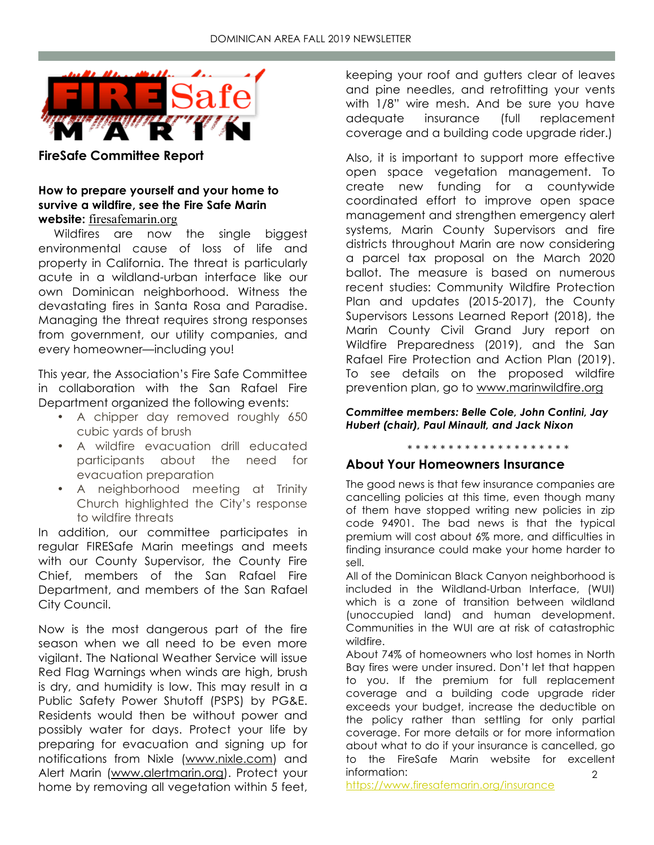

**FireSafe Committee Report**

### **How to prepare yourself and your home to survive a wildfire, see the Fire Safe Marin website:** firesafemarin.org

Wildfires are now the single biggest environmental cause of loss of life and property in California. The threat is particularly acute in a wildland-urban interface like our own Dominican neighborhood. Witness the devastating fires in Santa Rosa and Paradise. Managing the threat requires strong responses from government, our utility companies, and every homeowner—including you!

This year, the Association's Fire Safe Committee in collaboration with the San Rafael Fire Department organized the following events:

- A chipper day removed roughly 650 cubic yards of brush
- A wildfire evacuation drill educated participants about the need for evacuation preparation
- A neighborhood meeting at Trinity Church highlighted the City's response to wildfire threats

In addition, our committee participates in regular FIRESafe Marin meetings and meets with our County Supervisor, the County Fire Chief, members of the San Rafael Fire Department, and members of the San Rafael City Council.

Now is the most dangerous part of the fire season when we all need to be even more vigilant. The National Weather Service will issue Red Flag Warnings when winds are high, brush is dry, and humidity is low. This may result in a Public Safety Power Shutoff (PSPS) by PG&E. Residents would then be without power and possibly water for days. Protect your life by preparing for evacuation and signing up for notifications from Nixle (www.nixle.com) and Alert Marin (www.alertmarin.org). Protect your home by removing all vegetation within 5 feet,

keeping your roof and gutters clear of leaves and pine needles, and retrofitting your vents with 1/8" wire mesh. And be sure you have adequate insurance (full replacement coverage and a building code upgrade rider.)

Also, it is important to support more effective open space vegetation management. To create new funding for a countywide coordinated effort to improve open space management and strengthen emergency alert systems, Marin County Supervisors and fire districts throughout Marin are now considering a parcel tax proposal on the March 2020 ballot. The measure is based on numerous recent studies: Community Wildfire Protection Plan and updates (2015-2017), the County Supervisors Lessons Learned Report (2018), the Marin County Civil Grand Jury report on Wildfire Preparedness (2019), and the San Rafael Fire Protection and Action Plan (2019). To see details on the proposed wildfire prevention plan, go to www.marinwildfire.org

*Committee members: Belle Cole, John Contini, Jay Hubert (chair), Paul Minault, and Jack Nixon*

\* \* \* \* \* \* \* \* \* \* \* \* \* \* \* \* \* \* \* \*

# **About Your Homeowners Insurance**

The good news is that few insurance companies are cancelling policies at this time, even though many of them have stopped writing new policies in zip code 94901. The bad news is that the typical premium will cost about 6% more, and difficulties in finding insurance could make your home harder to sell.

All of the Dominican Black Canyon neighborhood is included in the Wildland-Urban Interface, (WUI) which is a zone of transition between wildland (unoccupied land) and human development. Communities in the WUI are at risk of catastrophic wildfire.

 $\mathcal{L}$ About 74% of homeowners who lost homes in North Bay fires were under insured. Don't let that happen to you. If the premium for full replacement coverage and a building code upgrade rider exceeds your budget, increase the deductible on the policy rather than settling for only partial coverage. For more details or for more information about what to do if your insurance is cancelled, go to the FireSafe Marin website for excellent information:

https://www.firesafemarin.org/insurance